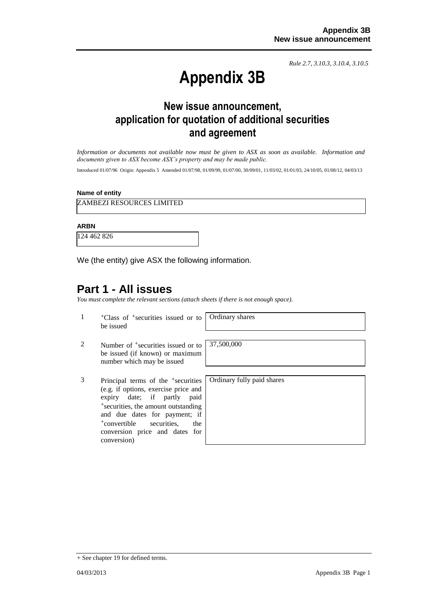*Rule 2.7, 3.10.3, 3.10.4, 3.10.5*

# **Appendix 3B**

# **New issue announcement, application for quotation of additional securities and agreement**

*Information or documents not available now must be given to ASX as soon as available. Information and documents given to ASX become ASX's property and may be made public.*

Introduced 01/07/96 Origin: Appendix 5 Amended 01/07/98, 01/09/99, 01/07/00, 30/09/01, 11/03/02, 01/01/03, 24/10/05, 01/08/12, 04/03/13

#### **Name of entity**

ZAMBEZI RESOURCES LIMITED

#### **ARBN**

124 462 826

We (the entity) give ASX the following information.

## **Part 1 - All issues**

*You must complete the relevant sections (attach sheets if there is not enough space).*

1 +Class of +securities issued or to be issued

Ordinary shares

- 2 Number of <sup>+</sup>securities issued or to be issued (if known) or maximum number which may be issued
- 3 Principal terms of the +securities (e.g. if options, exercise price and expiry date; if partly paid +securities, the amount outstanding and due dates for payment; if +convertible securities, the conversion price and dates for conversion)

37,500,000

Ordinary fully paid shares

<sup>+</sup> See chapter 19 for defined terms.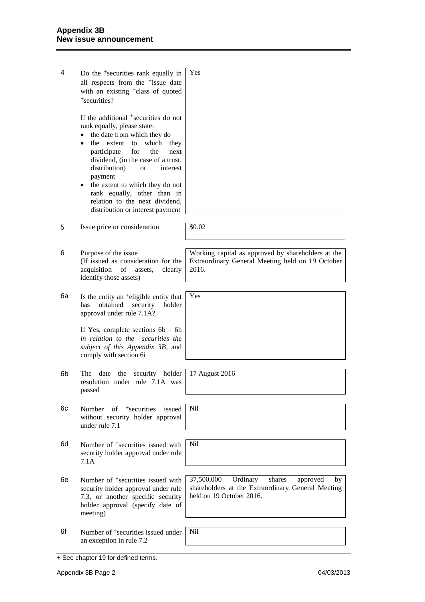| 4  | Do the <sup>+</sup> securities rank equally in<br>all respects from the <sup>+</sup> issue date<br>with an existing <sup>+</sup> class of quoted<br>+securities?                                                                                                                                                                                                                                                                                          | Yes                                                                                                                                 |
|----|-----------------------------------------------------------------------------------------------------------------------------------------------------------------------------------------------------------------------------------------------------------------------------------------------------------------------------------------------------------------------------------------------------------------------------------------------------------|-------------------------------------------------------------------------------------------------------------------------------------|
|    | If the additional <sup>+</sup> securities do not<br>rank equally, please state:<br>the date from which they do<br>the extent<br>to<br>which<br>they<br>$\bullet$<br>participate<br>for<br>the<br>next<br>dividend, (in the case of a trust,<br>distribution)<br>interest<br><sub>or</sub><br>payment<br>the extent to which they do not<br>$\bullet$<br>rank equally, other than in<br>relation to the next dividend,<br>distribution or interest payment |                                                                                                                                     |
| 5  | Issue price or consideration                                                                                                                                                                                                                                                                                                                                                                                                                              | \$0.02                                                                                                                              |
| 6  | Purpose of the issue<br>(If issued as consideration for the<br>acquisition<br>of<br>assets,<br>clearly<br>identify those assets)                                                                                                                                                                                                                                                                                                                          | Working capital as approved by shareholders at the<br>Extraordinary General Meeting held on 19 October<br>2016.                     |
| 6а | Is the entity an <sup>+</sup> eligible entity that<br>obtained<br>has<br>security<br>holder<br>approval under rule 7.1A?                                                                                                                                                                                                                                                                                                                                  | Yes                                                                                                                                 |
|    | If Yes, complete sections $6b - 6h$<br>in relation to the $+$ securities the<br>subject of this Appendix 3B, and<br>comply with section 6i                                                                                                                                                                                                                                                                                                                |                                                                                                                                     |
| 6b | the<br>holder<br>The<br>date<br>security<br>resolution under rule 7.1A was<br>passed                                                                                                                                                                                                                                                                                                                                                                      | 17 August 2016                                                                                                                      |
| 6с | <sup>+</sup> securities<br>issued<br>Number<br>of<br>without security holder approval<br>under rule 7.1                                                                                                                                                                                                                                                                                                                                                   | <b>Nil</b>                                                                                                                          |
| 6d | Number of <sup>+</sup> securities issued with<br>security holder approval under rule<br>7.1A                                                                                                                                                                                                                                                                                                                                                              | <b>Nil</b>                                                                                                                          |
| 6е | Number of <sup>+</sup> securities issued with<br>security holder approval under rule<br>7.3, or another specific security<br>holder approval (specify date of<br>meeting)                                                                                                                                                                                                                                                                                 | 37,500,000<br>Ordinary<br>shares<br>approved<br>by<br>shareholders at the Extraordinary General Meeting<br>held on 19 October 2016. |
| 6f | Number of <sup>+</sup> securities issued under<br>an exception in rule 7.2                                                                                                                                                                                                                                                                                                                                                                                | Nil                                                                                                                                 |

<sup>+</sup> See chapter 19 for defined terms.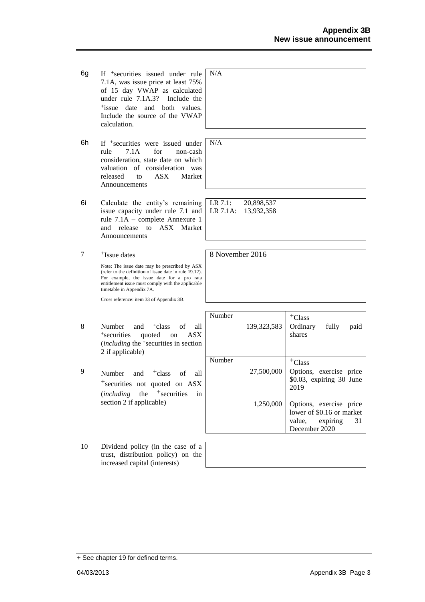- 6g If +securities issued under rule 7.1A, was issue price at least 75% of 15 day VWAP as calculated under rule 7.1A.3? Include the +issue date and both values. Include the source of the VWAP calculation.
- 6h If +securities were issued under rule 7.1A for non-cash consideration, state date on which valuation of consideration was released to ASX Market Announcements
- 6i Calculate the entity's remaining issue capacity under rule 7.1 and rule 7.1A – complete Annexure 1 and release to ASX Market Announcements
- 7 +Issue dates

Note: The issue date may be prescribed by ASX (refer to the definition of issue date in rule 19.12). For example, the issue date for a pro rata entitlement issue must comply with the applicable timetable in Appendix 7A.

Cross reference: item 33 of Appendix 3B.

- 8 Number and <sup>+</sup>class of all + securities quoted on ASX (*including* the <sup>+</sup> securities in section 2 if applicable)
- 9 Number and  $\dagger$ class of all +securities not quoted on ASX (*including* the <sup>+</sup>securities in section 2 if applicable)
- 10 Dividend policy (in the case of a trust, distribution policy) on the increased capital (interests)

| N/A |  |
|-----|--|
|     |  |
|     |  |
|     |  |

N/A

LR 7.1: 20,898,537 LR 7.1A: 13,932,358

8 November 2016

| Number |               | $+C$ lass                                                                                         |
|--------|---------------|---------------------------------------------------------------------------------------------------|
|        | 139, 323, 583 | Ordinary<br>fully<br>paid<br>shares                                                               |
| Number |               | $+C$ lass                                                                                         |
|        | 27,500,000    | Options, exercise price<br>\$0.03, expiring 30 June<br>2019                                       |
|        | 1,250,000     | Options, exercise price<br>lower of \$0.16 or market<br>31<br>expiring<br>value,<br>December 2020 |

<sup>+</sup> See chapter 19 for defined terms.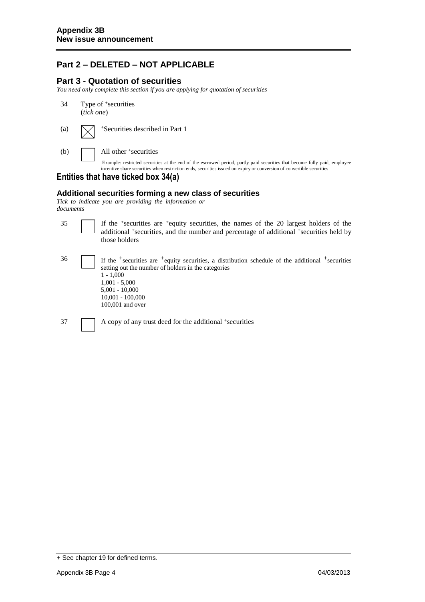## **Part 2 – DELETED – NOT APPLICABLE**

### **Part 3 - Quotation of securities**

*You need only complete this section if you are applying for quotation of securities*

- 34 Type of <sup>+</sup> securities (*tick one*)
- (a)  $\sqrt{\phantom{a}}$  +Securities described in Part 1

(b) All other <sup>+</sup> securities

Example: restricted securities at the end of the escrowed period, partly paid securities that become fully paid, employee incentive share securities when restriction ends, securities issued on expiry or conversion of convertible securities

### **Entities that have ticked box 34(a)**

#### **Additional securities forming a new class of securities**

*Tick to indicate you are providing the information or documents*

| 35 | If the <sup>+</sup> securities are <sup>+</sup> equity securities, the names of the 20 largest holders of the<br>additional *securities, and the number and percentage of additional *securities held by<br>those holders                                        |
|----|------------------------------------------------------------------------------------------------------------------------------------------------------------------------------------------------------------------------------------------------------------------|
| 36 | If the $+$ securities are $+$ equity securities, a distribution schedule of the additional $+$ securities<br>setting out the number of holders in the categories<br>$1 - 1,000$<br>$1,001 - 5,000$<br>$5.001 - 10.000$<br>$10.001 - 100.000$<br>100,001 and over |
| 37 | A copy of any trust deed for the additional +securities                                                                                                                                                                                                          |

<sup>+</sup> See chapter 19 for defined terms.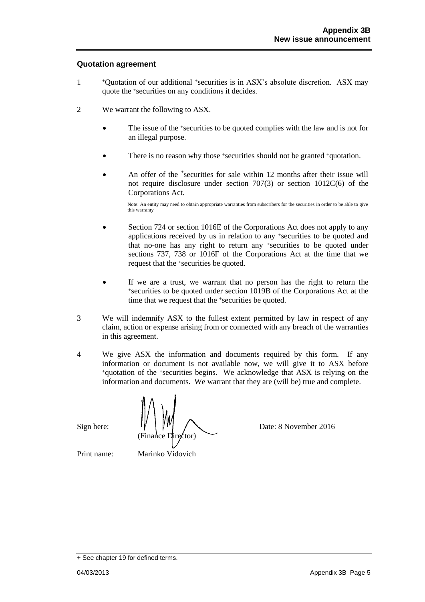#### **Quotation agreement**

- 1 <sup>+</sup>Quotation of our additional +securities is in ASX's absolute discretion. ASX may quote the +securities on any conditions it decides.
- 2 We warrant the following to ASX.
	- The issue of the +securities to be quoted complies with the law and is not for an illegal purpose.
	- There is no reason why those +securities should not be granted +quotation.
	- An offer of the <sup>+</sup>securities for sale within 12 months after their issue will not require disclosure under section 707(3) or section 1012C(6) of the Corporations Act.

Note: An entity may need to obtain appropriate warranties from subscribers for the securities in order to be able to give this warranty

- Section 724 or section 1016E of the Corporations Act does not apply to any applications received by us in relation to any +securities to be quoted and that no-one has any right to return any +securities to be quoted under sections 737, 738 or 1016F of the Corporations Act at the time that we request that the +securities be quoted.
- If we are a trust, we warrant that no person has the right to return the <sup>+</sup>securities to be quoted under section 1019B of the Corporations Act at the time that we request that the +securities be quoted.
- 3 We will indemnify ASX to the fullest extent permitted by law in respect of any claim, action or expense arising from or connected with any breach of the warranties in this agreement.
- 4 We give ASX the information and documents required by this form. If any information or document is not available now, we will give it to ASX before <sup>+</sup>quotation of the +securities begins. We acknowledge that ASX is relying on the information and documents. We warrant that they are (will be) true and complete.

Sign here:  $\| \cdot \| \cdot \|$   $\| \cdot \| \cdot \|$   $\sqrt{2}$  Date: 8 November 2016 (Finance Director)

Print name: Marinko Vidovich

<sup>+</sup> See chapter 19 for defined terms.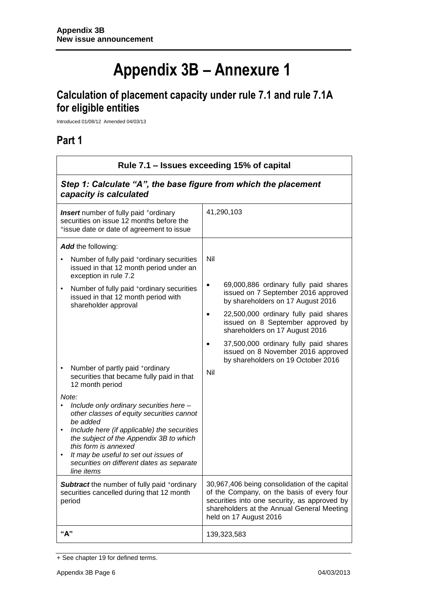# **Appendix 3B – Annexure 1**

# **Calculation of placement capacity under rule 7.1 and rule 7.1A for eligible entities**

Introduced 01/08/12 Amended 04/03/13

## **Part 1**

| Rule 7.1 – Issues exceeding 15% of capital                                                                                                        |                                                                                                                                                                                                                     |  |
|---------------------------------------------------------------------------------------------------------------------------------------------------|---------------------------------------------------------------------------------------------------------------------------------------------------------------------------------------------------------------------|--|
| Step 1: Calculate "A", the base figure from which the placement<br>capacity is calculated                                                         |                                                                                                                                                                                                                     |  |
| <b>Insert</b> number of fully paid <sup>+</sup> ordinary<br>securities on issue 12 months before the<br>*issue date or date of agreement to issue | 41,290,103                                                                                                                                                                                                          |  |
| Add the following:                                                                                                                                |                                                                                                                                                                                                                     |  |
| Number of fully paid <sup>+</sup> ordinary securities<br>issued in that 12 month period under an<br>exception in rule 7.2                         | Nil                                                                                                                                                                                                                 |  |
| Number of fully paid <sup>+</sup> ordinary securities<br>$\bullet$<br>issued in that 12 month period with<br>shareholder approval                 | 69,000,886 ordinary fully paid shares<br>issued on 7 September 2016 approved<br>by shareholders on 17 August 2016                                                                                                   |  |
|                                                                                                                                                   | 22,500,000 ordinary fully paid shares<br>issued on 8 September approved by<br>shareholders on 17 August 2016                                                                                                        |  |
|                                                                                                                                                   | 37,500,000 ordinary fully paid shares<br>issued on 8 November 2016 approved<br>by shareholders on 19 October 2016                                                                                                   |  |
| Number of partly paid +ordinary<br>$\bullet$<br>securities that became fully paid in that<br>12 month period                                      | Nil                                                                                                                                                                                                                 |  |
| Note:                                                                                                                                             |                                                                                                                                                                                                                     |  |
| Include only ordinary securities here -<br>other classes of equity securities cannot<br>be added                                                  |                                                                                                                                                                                                                     |  |
| Include here (if applicable) the securities<br>the subject of the Appendix 3B to which<br>this form is annexed                                    |                                                                                                                                                                                                                     |  |
| It may be useful to set out issues of<br>$\bullet$<br>securities on different dates as separate<br>line items                                     |                                                                                                                                                                                                                     |  |
| <b>Subtract</b> the number of fully paid +ordinary<br>securities cancelled during that 12 month<br>period                                         | 30,967,406 being consolidation of the capital<br>of the Company, on the basis of every four<br>securities into one security, as approved by<br>shareholders at the Annual General Meeting<br>held on 17 August 2016 |  |
| "A"                                                                                                                                               | 139,323,583                                                                                                                                                                                                         |  |

<sup>+</sup> See chapter 19 for defined terms.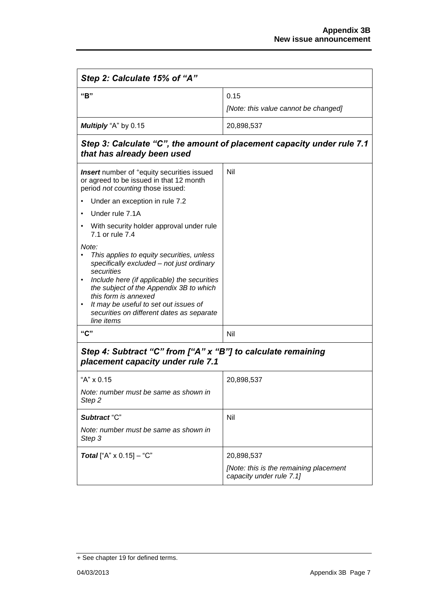| Step 2: Calculate 15% of "A"                                                                                                                                                                                                                                                                                                        |                                                                        |  |
|-------------------------------------------------------------------------------------------------------------------------------------------------------------------------------------------------------------------------------------------------------------------------------------------------------------------------------------|------------------------------------------------------------------------|--|
| "B"                                                                                                                                                                                                                                                                                                                                 | 0.15<br>[Note: this value cannot be changed]                           |  |
|                                                                                                                                                                                                                                                                                                                                     |                                                                        |  |
| Multiply "A" by 0.15                                                                                                                                                                                                                                                                                                                | 20,898,537                                                             |  |
| that has already been used                                                                                                                                                                                                                                                                                                          | Step 3: Calculate "C", the amount of placement capacity under rule 7.1 |  |
| <b>Insert</b> number of <sup>+</sup> equity securities issued<br>or agreed to be issued in that 12 month<br>period not counting those issued:                                                                                                                                                                                       | Nil                                                                    |  |
| Under an exception in rule 7.2                                                                                                                                                                                                                                                                                                      |                                                                        |  |
| Under rule 7.1A                                                                                                                                                                                                                                                                                                                     |                                                                        |  |
| With security holder approval under rule<br>7.1 or rule 7.4                                                                                                                                                                                                                                                                         |                                                                        |  |
| Note:<br>This applies to equity securities, unless<br>specifically excluded - not just ordinary<br>securities<br>Include here (if applicable) the securities<br>the subject of the Appendix 3B to which<br>this form is annexed<br>It may be useful to set out issues of<br>securities on different dates as separate<br>line items |                                                                        |  |
| "C"                                                                                                                                                                                                                                                                                                                                 | Nil                                                                    |  |
| Step 4: Subtract "C" from ["A" x "B"] to calculate remaining<br>placement capacity under rule 7.1                                                                                                                                                                                                                                   |                                                                        |  |
| "A" x 0.15                                                                                                                                                                                                                                                                                                                          | 20,898,537                                                             |  |
| Note: number must be same as shown in<br>Step <sub>2</sub>                                                                                                                                                                                                                                                                          |                                                                        |  |
| Subtract "C"                                                                                                                                                                                                                                                                                                                        | Nil                                                                    |  |
| Note: number must be same as shown in<br>Step 3                                                                                                                                                                                                                                                                                     |                                                                        |  |
| <b>Total</b> ["A" $\times$ 0.15] – "C"                                                                                                                                                                                                                                                                                              | 20,898,537                                                             |  |
|                                                                                                                                                                                                                                                                                                                                     | [Note: this is the remaining placement<br>capacity under rule 7.1]     |  |

<sup>+</sup> See chapter 19 for defined terms.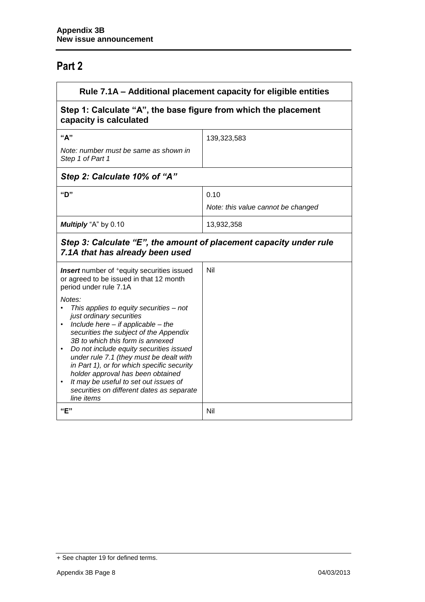## **Part 2**

| Rule 7.1A - Additional placement capacity for eligible entities                                                                                                                                                                                                                                                                                                                                                                                                                                                                                                                                                                       |                                            |  |
|---------------------------------------------------------------------------------------------------------------------------------------------------------------------------------------------------------------------------------------------------------------------------------------------------------------------------------------------------------------------------------------------------------------------------------------------------------------------------------------------------------------------------------------------------------------------------------------------------------------------------------------|--------------------------------------------|--|
| Step 1: Calculate "A", the base figure from which the placement<br>capacity is calculated                                                                                                                                                                                                                                                                                                                                                                                                                                                                                                                                             |                                            |  |
| "А"<br>Note: number must be same as shown in<br>Step 1 of Part 1                                                                                                                                                                                                                                                                                                                                                                                                                                                                                                                                                                      | 139,323,583                                |  |
| Step 2: Calculate 10% of "A"<br>"D"                                                                                                                                                                                                                                                                                                                                                                                                                                                                                                                                                                                                   | 0.10<br>Note: this value cannot be changed |  |
| Multiply "A" by 0.10                                                                                                                                                                                                                                                                                                                                                                                                                                                                                                                                                                                                                  | 13,932,358                                 |  |
| Step 3: Calculate "E", the amount of placement capacity under rule<br>7.1A that has already been used                                                                                                                                                                                                                                                                                                                                                                                                                                                                                                                                 |                                            |  |
| <b>Insert</b> number of <sup>+</sup> equity securities issued<br>or agreed to be issued in that 12 month<br>period under rule 7.1A<br>Notes:<br>This applies to equity securities - not<br>just ordinary securities<br>Include here $-$ if applicable $-$ the<br>securities the subject of the Appendix<br>3B to which this form is annexed<br>Do not include equity securities issued<br>under rule 7.1 (they must be dealt with<br>in Part 1), or for which specific security<br>holder approval has been obtained<br>It may be useful to set out issues of<br>$\bullet$<br>securities on different dates as separate<br>line items | Nil                                        |  |
| "E"                                                                                                                                                                                                                                                                                                                                                                                                                                                                                                                                                                                                                                   | Nil                                        |  |

<sup>+</sup> See chapter 19 for defined terms.